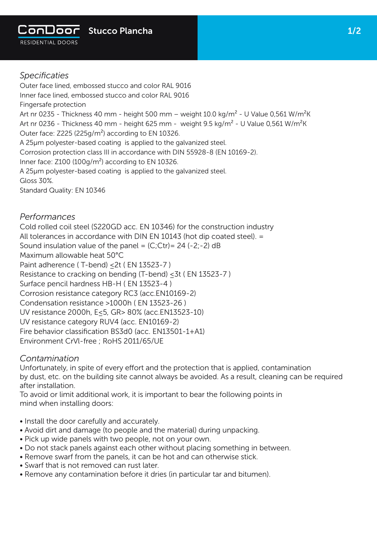

Outer face lined, embossed stucco and color RAL 9016 Inner face lined, embossed stucco and color RAL 9016 Fingersafe protection Art nr 0235 - Thickness 40 mm - height 500 mm - weight 10.0 kg/m<sup>2</sup> - U Value 0,561 W/m<sup>2</sup>K Art nr 0236 - Thickness 40 mm - height 625 mm - weight 9.5 kg/m<sup>2</sup> - U Value 0,561 W/m<sup>2</sup>K Outer face: Z225 (225g/m²) according to EN 10326. A 25µm polyester-based coating is applied to the galvanized steel. Corrosion protection class III in accordance with DIN 55928-8 (EN 10169-2). Inner face: Z100 (100g/m²) according to EN 10326. A 25µm polyester-based coating is applied to the galvanized steel. Gloss 30%.

Standard Quality: EN 10346

## *Performances*

Cold rolled coil steel (S220GD acc. EN 10346) for the construction industry All tolerances in accordance with DIN EN 10143 (hot dip coated steel). = Sound insulation value of the panel =  $(C;)$ Ctr) = 24 (-2;-2) dB Maximum allowable heat 50°C Paint adherence (T-bend) < 2t ( EN 13523-7 ) Resistance to cracking on bending (T-bend) ≤3t ( EN 13523-7 ) Surface pencil hardness HB-H ( EN 13523-4 ) Corrosion resistance category RC3 (acc.EN10169-2) Condensation resistance >1000h ( EN 13523-26 ) UV resistance 2000h, E≤5, GR> 80% (acc.EN13523-10) UV resistance category RUV4 (acc. EN10169-2) Fire behavior classification BS3d0 (acc. EN13501-1+A1) Environment CrVl-free ; RoHS 2011/65/UE

## *Contamination*

Unfortunately, in spite of every effort and the protection that is applied, contamination by dust, etc. on the building site cannot always be avoided. As a result, cleaning can be required after installation.

To avoid or limit additional work, it is important to bear the following points in mind when installing doors:

- Install the door carefully and accurately.
- Avoid dirt and damage (to people and the material) during unpacking.
- Pick up wide panels with two people, not on your own.
- Do not stack panels against each other without placing something in between.
- Remove swarf from the panels, it can be hot and can otherwise stick.
- Swarf that is not removed can rust later.
- Remove any contamination before it dries (in particular tar and bitumen).